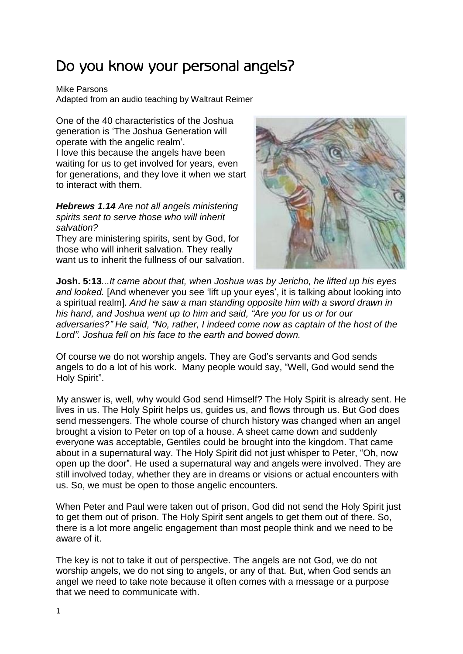## Do you know your personal angels?

Mike Parsons

Adapted from an audio teaching by Waltraut Reimer

One of the 40 characteristics of the Joshua generation is 'The Joshua Generation will operate with the angelic realm'. I love this because the angels have been

waiting for us to get involved for years, even for generations, and they love it when we start to interact with them.

*Hebrews 1.14 Are not all angels ministering spirits sent to serve those who will inherit salvation?*

They are ministering spirits, sent by God, for those who will inherit salvation. They really want us to inherit the fullness of our salvation.



**Josh. 5:13***...It came about that, when Joshua was by Jericho, he lifted up his eyes and looked.* [And whenever you see 'lift up your eyes', it is talking about looking into a spiritual realm]. *And he saw a man standing opposite him with a sword drawn in his hand, and Joshua went up to him and said, "Are you for us or for our adversaries?" He said, "No, rather, I indeed come now as captain of the host of the Lord". Joshua fell on his face to the earth and bowed down.* 

Of course we do not worship angels. They are God's servants and God sends angels to do a lot of his work. Many people would say, "Well, God would send the Holy Spirit".

My answer is, well, why would God send Himself? The Holy Spirit is already sent. He lives in us. The Holy Spirit helps us, guides us, and flows through us. But God does send messengers. The whole course of church history was changed when an angel brought a vision to Peter on top of a house. A sheet came down and suddenly everyone was acceptable, Gentiles could be brought into the kingdom. That came about in a supernatural way. The Holy Spirit did not just whisper to Peter, "Oh, now open up the door". He used a supernatural way and angels were involved. They are still involved today, whether they are in dreams or visions or actual encounters with us. So, we must be open to those angelic encounters.

When Peter and Paul were taken out of prison, God did not send the Holy Spirit just to get them out of prison. The Holy Spirit sent angels to get them out of there. So, there is a lot more angelic engagement than most people think and we need to be aware of it.

The key is not to take it out of perspective. The angels are not God, we do not worship angels, we do not sing to angels, or any of that. But, when God sends an angel we need to take note because it often comes with a message or a purpose that we need to communicate with.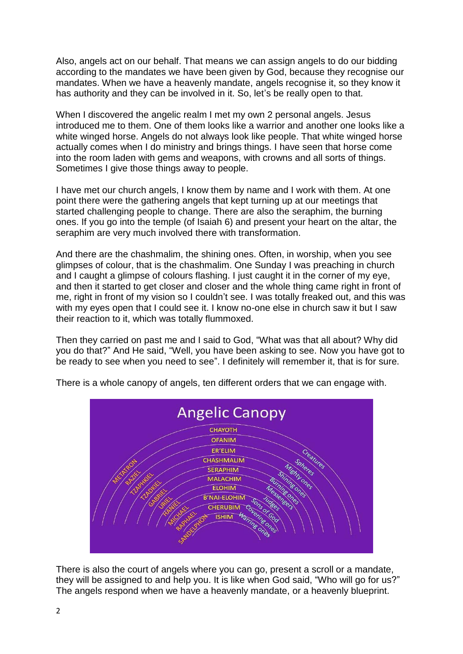Also, angels act on our behalf. That means we can assign angels to do our bidding according to the mandates we have been given by God, because they recognise our mandates. When we have a heavenly mandate, angels recognise it, so they know it has authority and they can be involved in it. So, let's be really open to that.

When I discovered the angelic realm I met my own 2 personal angels. Jesus introduced me to them. One of them looks like a warrior and another one looks like a white winged horse. Angels do not always look like people. That white winged horse actually comes when I do ministry and brings things. I have seen that horse come into the room laden with gems and weapons, with crowns and all sorts of things. Sometimes I give those things away to people.

I have met our church angels, I know them by name and I work with them. At one point there were the gathering angels that kept turning up at our meetings that started challenging people to change. There are also the seraphim, the burning ones. If you go into the temple (of Isaiah 6) and present your heart on the altar, the seraphim are very much involved there with transformation.

And there are the chashmalim, the shining ones. Often, in worship, when you see glimpses of colour, that is the chashmalim. One Sunday I was preaching in church and I caught a glimpse of colours flashing. I just caught it in the corner of my eye, and then it started to get closer and closer and the whole thing came right in front of me, right in front of my vision so I couldn't see. I was totally freaked out, and this was with my eyes open that I could see it. I know no-one else in church saw it but I saw their reaction to it, which was totally flummoxed.

Then they carried on past me and I said to God, "What was that all about? Why did you do that?" And He said, "Well, you have been asking to see. Now you have got to be ready to see when you need to see". I definitely will remember it, that is for sure.



There is a whole canopy of angels, ten different orders that we can engage with.

There is also the court of angels where you can go, present a scroll or a mandate, they will be assigned to and help you. It is like when God said, "Who will go for us?" The angels respond when we have a heavenly mandate, or a heavenly blueprint.